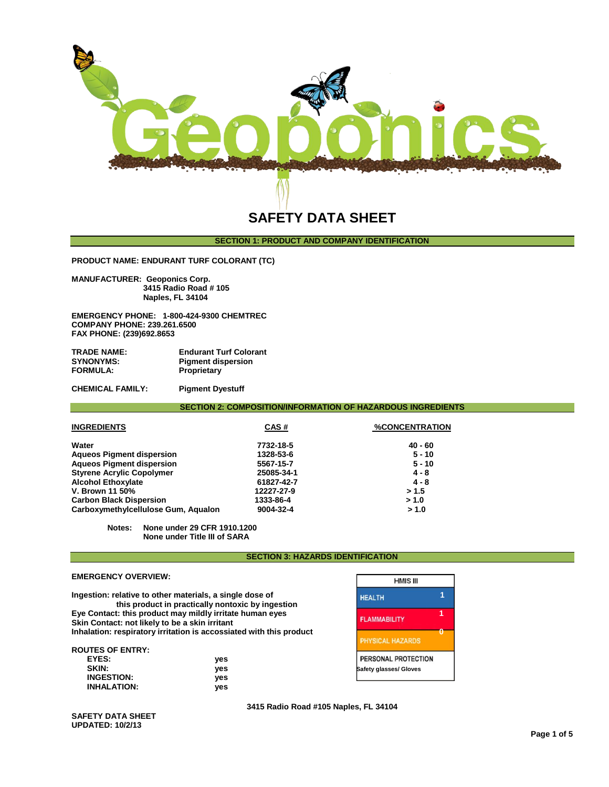

# **SAFETY DATA SHEET**

# **SECTION 1: PRODUCT AND COMPANY IDENTIFICATION**

**PRODUCT NAME: ENDURANT TURF COLORANT (TC)**

**MANUFACTURER: Geoponics Corp. 3415 Radio Road # 105 Naples, FL 34104** 

**EMERGENCY PHONE: 1-800-424-9300 CHEMTREC COMPANY PHONE: 239.261.6500 FAX PHONE: (239)692.8653**

| TRADE NAME:      | <b>Endurant Turf Colorant</b> |
|------------------|-------------------------------|
| <b>SYNONYMS:</b> | <b>Pigment dispersion</b>     |
| <b>FORMULA:</b>  | Proprietary                   |

**CHEMICAL FAMILY: Pigment Dyestuff** 

**SECTION 2: COMPOSITION/INFORMATION OF HAZARDOUS INGREDIENTS**

| <b>INGREDIENTS</b>                  | CAS#       | <b>%CONCENTRATION</b> |  |
|-------------------------------------|------------|-----------------------|--|
| Water                               | 7732-18-5  | $40 - 60$             |  |
| <b>Aqueos Pigment dispersion</b>    | 1328-53-6  | $5 - 10$              |  |
| <b>Aqueos Pigment dispersion</b>    | 5567-15-7  | $5 - 10$              |  |
| <b>Styrene Acrylic Copolymer</b>    | 25085-34-1 | $4 - 8$               |  |
| <b>Alcohol Ethoxylate</b>           | 61827-42-7 | $4 - 8$               |  |
| V. Brown 11 50%                     | 12227-27-9 | > 1.5                 |  |
| <b>Carbon Black Dispersion</b>      | 1333-86-4  | > 1.0                 |  |
| Carboxymethylcellulose Gum, Aqualon | 9004-32-4  | > 1.0                 |  |

**Notes: None under 29 CFR 1910.1200 None under Title III of SARA**

## **SECTION 3: HAZARDS IDENTIFICATION**

## **EMERGENCY OVERVIEW:**

**Ingestion: relative to other materials, a single dose of 1 this product in practically nontoxic by ingestion Eye Contact: this product may mildly irritate human eyes 1 Skin Contact: not likely to be a skin irritant Inhalation: respiratory irritation is accossiated with this product 0**

### **ROUTES OF ENTRY:**

| SKIN:<br>ves              | <b>Safety glasses/ Gloves</b> |
|---------------------------|-------------------------------|
| <b>INGESTION:</b><br>ves  |                               |
| <b>INHALATION:</b><br>ves |                               |

| <b>HMIS III</b>                               |  |
|-----------------------------------------------|--|
| <b>HEALTH</b>                                 |  |
| <b>FLAMMABILITY</b>                           |  |
| <b>PHYSICAL HAZARDS</b>                       |  |
| PERSONAL PROTECTION<br>Safety glasses/ Gloves |  |

**3415 Radio Road #105 Naples, FL 34104** 

**SAFETY DATA SHEET UPDATED: 10/2/13**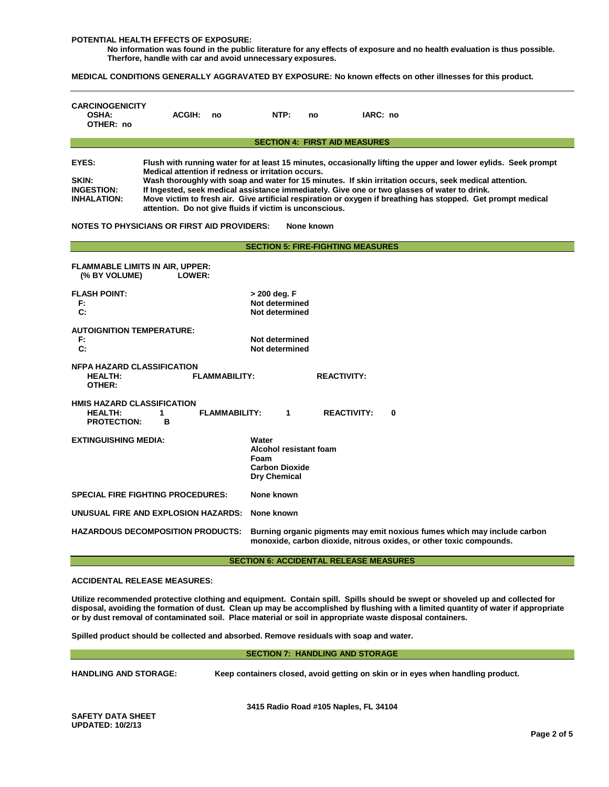#### **POTENTIAL HEALTH EFFECTS OF EXPOSURE:**

**No information was found in the public literature for any effects of exposure and no health evaluation is thus possible. Therfore, handle with car and avoid unnecessary exposures.**

**MEDICAL CONDITIONS GENERALLY AGGRAVATED BY EXPOSURE: No known effects on other illnesses for this product.**

| <b>CARCINOGENICITY</b><br><b>OSHA:</b><br>OTHER: no                                                                                                                                                                                                                                                                                                                                                                                                                                                                                                                                                                                                                                 | <b>ACGIH:</b> | no                   | NTP:                                                                             | no | IARC: no           |          |
|-------------------------------------------------------------------------------------------------------------------------------------------------------------------------------------------------------------------------------------------------------------------------------------------------------------------------------------------------------------------------------------------------------------------------------------------------------------------------------------------------------------------------------------------------------------------------------------------------------------------------------------------------------------------------------------|---------------|----------------------|----------------------------------------------------------------------------------|----|--------------------|----------|
|                                                                                                                                                                                                                                                                                                                                                                                                                                                                                                                                                                                                                                                                                     |               |                      | <b>SECTION 4: FIRST AID MEASURES</b>                                             |    |                    |          |
| EYES:<br>Flush with running water for at least 15 minutes, occasionally lifting the upper and lower eylids. Seek prompt<br>Medical attention if redness or irritation occurs.<br>SKIN:<br>Wash thoroughly with soap and water for 15 minutes. If skin irritation occurs, seek medical attention.<br>If Ingested, seek medical assistance immediately. Give one or two glasses of water to drink.<br><b>INGESTION:</b><br>Move victim to fresh air. Give artificial respiration or oxygen if breathing has stopped. Get prompt medical<br><b>INHALATION:</b><br>attention. Do not give fluids if victim is unconscious.<br>NOTES TO PHYSICIANS OR FIRST AID PROVIDERS:<br>None known |               |                      |                                                                                  |    |                    |          |
|                                                                                                                                                                                                                                                                                                                                                                                                                                                                                                                                                                                                                                                                                     |               |                      | <b>SECTION 5: FIRE-FIGHTING MEASURES</b>                                         |    |                    |          |
| <b>FLAMMABLE LIMITS IN AIR, UPPER:</b><br>(% BY VOLUME)                                                                                                                                                                                                                                                                                                                                                                                                                                                                                                                                                                                                                             | LOWER:        |                      |                                                                                  |    |                    |          |
| <b>FLASH POINT:</b><br>F.<br>$\mathbf{C}$ :                                                                                                                                                                                                                                                                                                                                                                                                                                                                                                                                                                                                                                         |               |                      | > 200 deg. F<br>Not determined<br>Not determined                                 |    |                    |          |
| <b>AUTOIGNITION TEMPERATURE:</b><br>F:<br>C:                                                                                                                                                                                                                                                                                                                                                                                                                                                                                                                                                                                                                                        |               |                      | Not determined<br>Not determined                                                 |    |                    |          |
| <b>NFPA HAZARD CLASSIFICATION</b><br><b>HEALTH:</b><br><b>FLAMMABILITY:</b><br>OTHER:                                                                                                                                                                                                                                                                                                                                                                                                                                                                                                                                                                                               |               | <b>REACTIVITY:</b>   |                                                                                  |    |                    |          |
| <b>HMIS HAZARD CLASSIFICATION</b><br><b>HEALTH:</b><br><b>PROTECTION:</b>                                                                                                                                                                                                                                                                                                                                                                                                                                                                                                                                                                                                           | 1<br>B        | <b>FLAMMABILITY:</b> | 1                                                                                |    | <b>REACTIVITY:</b> | $\bf{0}$ |
| <b>EXTINGUISHING MEDIA:</b>                                                                                                                                                                                                                                                                                                                                                                                                                                                                                                                                                                                                                                                         |               |                      | Water<br>Alcohol resistant foam<br>Foam<br><b>Carbon Dioxide</b><br>Dry Chemical |    |                    |          |
| <b>SPECIAL FIRE FIGHTING PROCEDURES:</b>                                                                                                                                                                                                                                                                                                                                                                                                                                                                                                                                                                                                                                            |               |                      | None known                                                                       |    |                    |          |
| UNUSUAL FIRE AND EXPLOSION HAZARDS:                                                                                                                                                                                                                                                                                                                                                                                                                                                                                                                                                                                                                                                 |               |                      | None known                                                                       |    |                    |          |
| <b>HAZARDOUS DECOMPOSITION PRODUCTS:</b><br>Burning organic pigments may emit noxious fumes which may include carbon<br>monoxide, carbon dioxide, nitrous oxides, or other toxic compounds.                                                                                                                                                                                                                                                                                                                                                                                                                                                                                         |               |                      |                                                                                  |    |                    |          |

#### **SECTION 6: ACCIDENTAL RELEASE MEASURES**

# **ACCIDENTAL RELEASE MEASURES:**

**Utilize recommended protective clothing and equipment. Contain spill. Spills should be swept or shoveled up and collected for disposal, avoiding the formation of dust. Clean up may be accomplished by flushing with a limited quantity of water if appropriate or by dust removal of contaminated soil. Place material or soil in appropriate waste disposal containers.**

**Spilled product should be collected and absorbed. Remove residuals with soap and water.** 

**SECTION 7: HANDLING AND STORAGE**

**HANDLING AND STORAGE: Keep containers closed, avoid getting on skin or in eyes when handling product.**

**3415 Radio Road #105 Naples, FL 34104**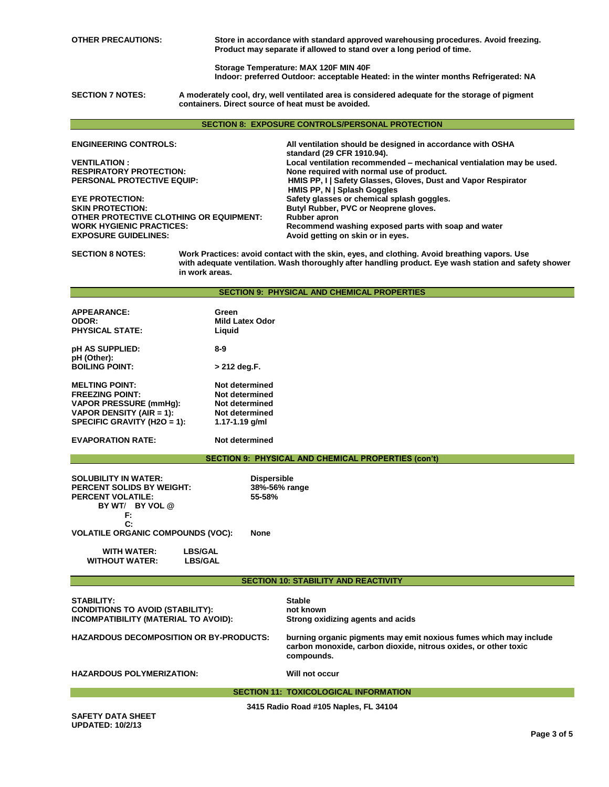**OTHER PRECAUTIONS: Store in accordance with standard approved warehousing procedures. Avoid freezing. Product may separate if allowed to stand over a long period of time.** 

> **Storage Temperature: MAX 120F MIN 40F Indoor: preferred Outdoor: acceptable Heated: in the winter months Refrigerated: NA**

**SECTION 7 NOTES: SECTION 7 NOTES: A moderately cool, dry, well ventilated area is considered adequate for the storage of pigment containers. Direct source of heat must be avoided.**

#### **SECTION 8: EXPOSURE CONTROLS/PERSONAL PROTECTION**

**ENGINEERING CONTROLS: All ventilation should be designed in accordance with OSHA standard (29 CFR 1910.94). VENTILATION : Local ventilation recommended – mechanical ventialation may be used. RESPIRATORY PROTECTION: None required with normal use of product. HMIS PP, I | Safety Glasses, Gloves, Dust and Vapor Respirator HMIS PP, N | Splash Goggles EYE PROTECTION: Safety glasses or chemical splash goggles. Butyl Rubber, PVC or Neoprene gloves.**<br>Rubber apron **OTHER PROTECTIVE CLOTHING OR EQUIPMENT:**<br>WORK HYGIENIC PRACTICES: **WORK HYGIENIC PRACTICES: Recommend washing exposed parts with soap and water EXPOSURE GUIDELINES: Avoid getting on skin or in eyes.**

**SECTION 8 NOTES: SECTION 8 NOTES: Work Practices: avoid contact with the skin, eyes, and clothing. Avoid breathing vapors. Use with adequate ventilation. Wash thoroughly after handling product. Eye wash station and safety shower in work areas.** 

#### **SECTION 9: PHYSICAL AND CHEMICAL PROPERTIES**

| <b>APPEARANCE:</b><br><b>ODOR:</b><br><b>PHYSICAL STATE:</b> | Green<br><b>Mild Latex Odor</b><br>Liquid |
|--------------------------------------------------------------|-------------------------------------------|
| <b>pH AS SUPPLIED:</b><br>pH (Other):                        | 8-9                                       |
| <b>BOILING POINT:</b>                                        | > 212 deg.F.                              |
| <b>MELTING POINT:</b>                                        | Not determined                            |
| <b>FREEZING POINT:</b>                                       | Not determined                            |
| <b>VAPOR PRESSURE (mmHg):</b>                                | Not determined                            |
| VAPOR DENSITY (AIR = 1):                                     | Not determined                            |
| SPECIFIC GRAVITY (H2O = 1):                                  | 1.17-1.19 $q/ml$                          |

**EVAPORATION RATE: Not determined**

**WITHOUT WATER:** 

## **SECTION 9: PHYSICAL AND CHEMICAL PROPERTIES (con't)**

| <b>SOLUBILITY IN WATER:</b><br><b>PERCENT SOLIDS BY WEIGHT:</b> |                | <b>Dispersible</b><br>38%-56% range |
|-----------------------------------------------------------------|----------------|-------------------------------------|
| <b>PERCENT VOLATILE:</b>                                        |                | 55-58%                              |
| BY WT/ BY VOL @                                                 |                |                                     |
| F:                                                              |                |                                     |
| $\mathbf{C}$                                                    |                |                                     |
| <b>VOLATILE ORGANIC COMPOUNDS (VOC):</b>                        |                | None                                |
| <b>WITH WATER:</b>                                              | <b>LBS/GAL</b> |                                     |
| <b>WITHOUT WATER:</b>                                           | <b>LBS/GAL</b> |                                     |

**SECTION 10: STABILITY AND REACTIVITY**

| <b>STABILITY:</b><br><b>CONDITIONS TO AVOID (STABILITY):</b><br>INCOMPATIBILITY (MATERIAL TO AVOID): | <b>Stable</b><br>not known<br>Strong oxidizing agents and acids                                                                                    |
|------------------------------------------------------------------------------------------------------|----------------------------------------------------------------------------------------------------------------------------------------------------|
| <b>HAZARDOUS DECOMPOSITION OR BY-PRODUCTS:</b>                                                       | burning organic pigments may emit noxious fumes which may include<br>carbon monoxide, carbon dioxide, nitrous oxides, or other toxic<br>compounds. |
| <b>HAZARDOUS POLYMERIZATION:</b>                                                                     | Will not occur                                                                                                                                     |
|                                                                                                      | <b>SECTION 11: TOXICOLOGICAL INFORMATION</b>                                                                                                       |
|                                                                                                      | 3415 Radio Road #105 Naples, FL 34104                                                                                                              |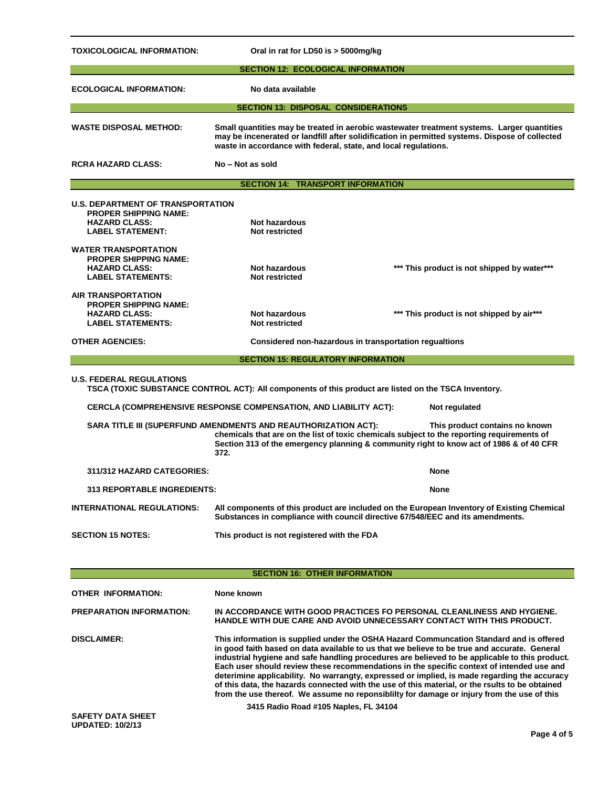| TOXICOLOGICAL INFORMATION:                                                                                                                                                                                                                                                                        | Oral in rat for LD50 is > 5000mg/kg                                                                                                                                                                                                                                                                                                                                                                                                                                                                                                                                                                                                                                                     |                                             |  |  |
|---------------------------------------------------------------------------------------------------------------------------------------------------------------------------------------------------------------------------------------------------------------------------------------------------|-----------------------------------------------------------------------------------------------------------------------------------------------------------------------------------------------------------------------------------------------------------------------------------------------------------------------------------------------------------------------------------------------------------------------------------------------------------------------------------------------------------------------------------------------------------------------------------------------------------------------------------------------------------------------------------------|---------------------------------------------|--|--|
| <b>SECTION 12: ECOLOGICAL INFORMATION</b>                                                                                                                                                                                                                                                         |                                                                                                                                                                                                                                                                                                                                                                                                                                                                                                                                                                                                                                                                                         |                                             |  |  |
| <b>ECOLOGICAL INFORMATION:</b>                                                                                                                                                                                                                                                                    | No data available                                                                                                                                                                                                                                                                                                                                                                                                                                                                                                                                                                                                                                                                       |                                             |  |  |
|                                                                                                                                                                                                                                                                                                   | <b>SECTION 13: DISPOSAL CONSIDERATIONS</b>                                                                                                                                                                                                                                                                                                                                                                                                                                                                                                                                                                                                                                              |                                             |  |  |
| <b>WASTE DISPOSAL METHOD:</b>                                                                                                                                                                                                                                                                     | Small quantities may be treated in aerobic wastewater treatment systems. Larger quantities<br>may be incenerated or landfill after solidification in permitted systems. Dispose of collected<br>waste in accordance with federal, state, and local regulations.                                                                                                                                                                                                                                                                                                                                                                                                                         |                                             |  |  |
| <b>RCRA HAZARD CLASS:</b>                                                                                                                                                                                                                                                                         | No - Not as sold                                                                                                                                                                                                                                                                                                                                                                                                                                                                                                                                                                                                                                                                        |                                             |  |  |
|                                                                                                                                                                                                                                                                                                   | <b>SECTION 14: TRANSPORT INFORMATION</b>                                                                                                                                                                                                                                                                                                                                                                                                                                                                                                                                                                                                                                                |                                             |  |  |
| <b>U.S. DEPARTMENT OF TRANSPORTATION</b><br><b>PROPER SHIPPING NAME:</b><br><b>HAZARD CLASS:</b><br><b>LABEL STATEMENT:</b>                                                                                                                                                                       | <b>Not hazardous</b><br>Not restricted                                                                                                                                                                                                                                                                                                                                                                                                                                                                                                                                                                                                                                                  |                                             |  |  |
| <b>WATER TRANSPORTATION</b><br><b>PROPER SHIPPING NAME:</b><br><b>HAZARD CLASS:</b><br><b>LABEL STATEMENTS:</b>                                                                                                                                                                                   | <b>Not hazardous</b><br>Not restricted                                                                                                                                                                                                                                                                                                                                                                                                                                                                                                                                                                                                                                                  | *** This product is not shipped by water*** |  |  |
| <b>AIR TRANSPORTATION</b><br><b>PROPER SHIPPING NAME:</b><br><b>HAZARD CLASS:</b><br><b>LABEL STATEMENTS:</b>                                                                                                                                                                                     | <b>Not hazardous</b><br>Not restricted                                                                                                                                                                                                                                                                                                                                                                                                                                                                                                                                                                                                                                                  | *** This product is not shipped by air***   |  |  |
| <b>OTHER AGENCIES:</b>                                                                                                                                                                                                                                                                            | Considered non-hazardous in transportation regualtions                                                                                                                                                                                                                                                                                                                                                                                                                                                                                                                                                                                                                                  |                                             |  |  |
| <b>SECTION 15: REGULATORY INFORMATION</b>                                                                                                                                                                                                                                                         |                                                                                                                                                                                                                                                                                                                                                                                                                                                                                                                                                                                                                                                                                         |                                             |  |  |
| <b>U.S. FEDERAL REGULATIONS</b>                                                                                                                                                                                                                                                                   | TSCA (TOXIC SUBSTANCE CONTROL ACT): All components of this product are listed on the TSCA Inventory.                                                                                                                                                                                                                                                                                                                                                                                                                                                                                                                                                                                    |                                             |  |  |
|                                                                                                                                                                                                                                                                                                   | <b>CERCLA (COMPREHENSIVE RESPONSE COMPENSATION, AND LIABILITY ACT):</b>                                                                                                                                                                                                                                                                                                                                                                                                                                                                                                                                                                                                                 | Not regulated                               |  |  |
| SARA TITLE III (SUPERFUND AMENDMENTS AND REAUTHORIZATION ACT):<br>This product contains no known<br>chemicals that are on the list of toxic chemicals subject to the reporting requirements of<br>Section 313 of the emergency planning & community right to know act of 1986 & of 40 CFR<br>372. |                                                                                                                                                                                                                                                                                                                                                                                                                                                                                                                                                                                                                                                                                         |                                             |  |  |
| 311/312 HAZARD CATEGORIES:                                                                                                                                                                                                                                                                        |                                                                                                                                                                                                                                                                                                                                                                                                                                                                                                                                                                                                                                                                                         | None                                        |  |  |
| <b>313 REPORTABLE INGREDIENTS:</b><br>None                                                                                                                                                                                                                                                        |                                                                                                                                                                                                                                                                                                                                                                                                                                                                                                                                                                                                                                                                                         |                                             |  |  |
| All components of this product are included on the European Inventory of Existing Chemical<br><b>INTERNATIONAL REGULATIONS:</b><br>Substances in compliance with council directive 67/548/EEC and its amendments.                                                                                 |                                                                                                                                                                                                                                                                                                                                                                                                                                                                                                                                                                                                                                                                                         |                                             |  |  |
| <b>SECTION 15 NOTES:</b>                                                                                                                                                                                                                                                                          | This product is not registered with the FDA                                                                                                                                                                                                                                                                                                                                                                                                                                                                                                                                                                                                                                             |                                             |  |  |
|                                                                                                                                                                                                                                                                                                   |                                                                                                                                                                                                                                                                                                                                                                                                                                                                                                                                                                                                                                                                                         |                                             |  |  |
|                                                                                                                                                                                                                                                                                                   | <b>SECTION 16: OTHER INFORMATION</b>                                                                                                                                                                                                                                                                                                                                                                                                                                                                                                                                                                                                                                                    |                                             |  |  |
| <b>OTHER INFORMATION:</b>                                                                                                                                                                                                                                                                         | None known                                                                                                                                                                                                                                                                                                                                                                                                                                                                                                                                                                                                                                                                              |                                             |  |  |
| <b>PREPARATION INFORMATION:</b>                                                                                                                                                                                                                                                                   | IN ACCORDANCE WITH GOOD PRACTICES FO PERSONAL CLEANLINESS AND HYGIENE.<br>HANDLE WITH DUE CARE AND AVOID UNNECESSARY CONTACT WITH THIS PRODUCT.                                                                                                                                                                                                                                                                                                                                                                                                                                                                                                                                         |                                             |  |  |
| <b>DISCLAIMER:</b>                                                                                                                                                                                                                                                                                | This information is supplied under the OSHA Hazard Communcation Standard and is offered<br>in good faith based on data available to us that we believe to be true and accurate. General<br>industrial hygiene and safe handling procedures are believed to be applicable to this product.<br>Each user should review these recommendations in the specific context of intended use and<br>deterimine applicability. No warrangty, expressed or implied, is made regarding the accuracy<br>of this data, the hazards connected with the use of this material, or the rsults to be obtained<br>from the use thereof. We assume no reponsibility for damage or injury from the use of this |                                             |  |  |
| <b>SAFETY DATA SHEET</b><br><b>UPDATED: 10/2/13</b>                                                                                                                                                                                                                                               | 3415 Radio Road #105 Naples, FL 34104                                                                                                                                                                                                                                                                                                                                                                                                                                                                                                                                                                                                                                                   | Page 4 of 5                                 |  |  |